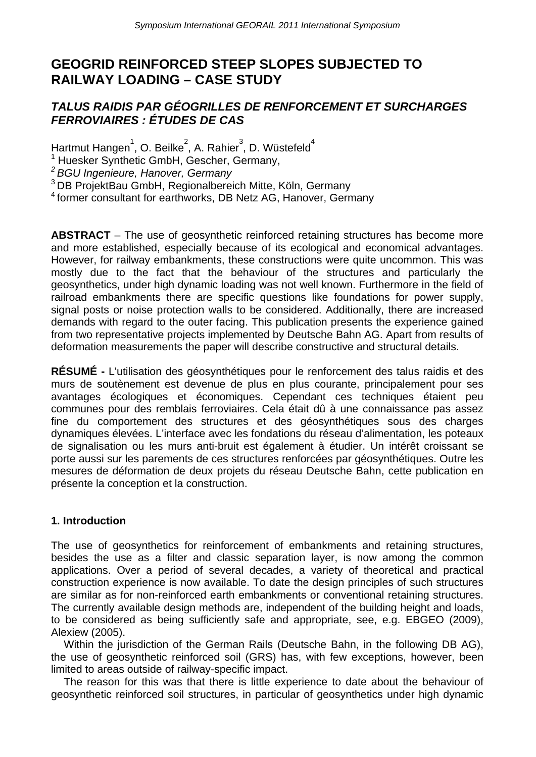# **GEOGRID REINFORCED STEEP SLOPES SUBJECTED TO RAILWAY LOADING – CASE STUDY**

# *TALUS RAIDIS PAR GÉOGRILLES DE RENFORCEMENT ET SURCHARGES FERROVIAIRES : ÉTUDES DE CAS*

Hartmut Hangen $^1$ , O. Beilke $^2$ , A. Rahier $^3$ , D. Wüstefeld $^4$ 

1 Huesker Synthetic GmbH, Gescher, Germany,

*2 BGU Ingenieure, Hanover, Germany*

3 DB ProjektBau GmbH, Regionalbereich Mitte, Köln, Germany

4 former consultant for earthworks, DB Netz AG, Hanover, Germany

**ABSTRACT** – The use of geosynthetic reinforced retaining structures has become more and more established, especially because of its ecological and economical advantages. However, for railway embankments, these constructions were quite uncommon. This was mostly due to the fact that the behaviour of the structures and particularly the geosynthetics, under high dynamic loading was not well known. Furthermore in the field of railroad embankments there are specific questions like foundations for power supply, signal posts or noise protection walls to be considered. Additionally, there are increased demands with regard to the outer facing. This publication presents the experience gained from two representative projects implemented by Deutsche Bahn AG. Apart from results of deformation measurements the paper will describe constructive and structural details.

**RÉSUMÉ -** L'utilisation des géosynthétiques pour le renforcement des talus raidis et des murs de soutènement est devenue de plus en plus courante, principalement pour ses avantages écologiques et économiques. Cependant ces techniques étaient peu communes pour des remblais ferroviaires. Cela était dû à une connaissance pas assez fine du comportement des structures et des géosynthétiques sous des charges dynamiques élevées. L'interface avec les fondations du réseau d'alimentation, les poteaux de signalisation ou les murs anti-bruit est également à étudier. Un intérêt croissant se porte aussi sur les parements de ces structures renforcées par géosynthétiques. Outre les mesures de déformation de deux projets du réseau Deutsche Bahn, cette publication en présente la conception et la construction.

#### **1. Introduction**

The use of geosynthetics for reinforcement of embankments and retaining structures, besides the use as a filter and classic separation layer, is now among the common applications. Over a period of several decades, a variety of theoretical and practical construction experience is now available. To date the design principles of such structures are similar as for non-reinforced earth embankments or conventional retaining structures. The currently available design methods are, independent of the building height and loads, to be considered as being sufficiently safe and appropriate, see, e.g. EBGEO (2009), Alexiew (2005).

Within the jurisdiction of the German Rails (Deutsche Bahn, in the following DB AG), the use of geosynthetic reinforced soil (GRS) has, with few exceptions, however, been limited to areas outside of railway-specific impact.

The reason for this was that there is little experience to date about the behaviour of geosynthetic reinforced soil structures, in particular of geosynthetics under high dynamic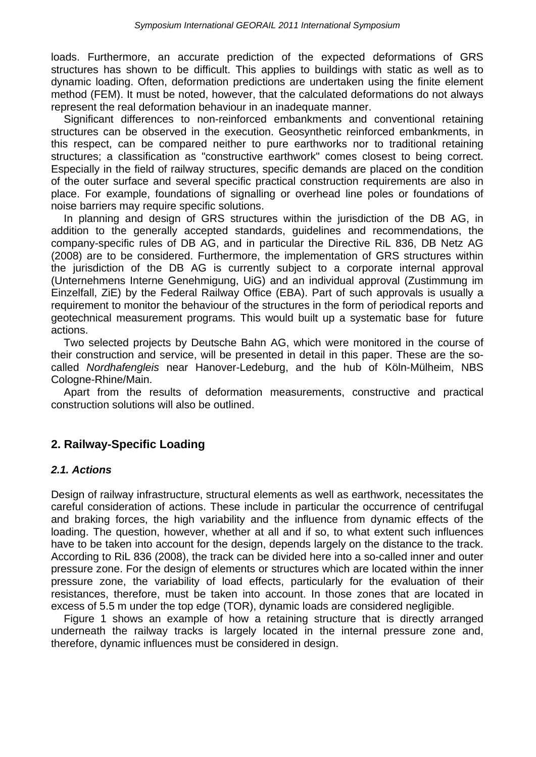loads. Furthermore, an accurate prediction of the expected deformations of GRS structures has shown to be difficult. This applies to buildings with static as well as to dynamic loading. Often, deformation predictions are undertaken using the finite element method (FEM). It must be noted, however, that the calculated deformations do not always represent the real deformation behaviour in an inadequate manner.

Significant differences to non-reinforced embankments and conventional retaining structures can be observed in the execution. Geosynthetic reinforced embankments, in this respect, can be compared neither to pure earthworks nor to traditional retaining structures; a classification as "constructive earthwork" comes closest to being correct. Especially in the field of railway structures, specific demands are placed on the condition of the outer surface and several specific practical construction requirements are also in place. For example, foundations of signalling or overhead line poles or foundations of noise barriers may require specific solutions.

In planning and design of GRS structures within the jurisdiction of the DB AG, in addition to the generally accepted standards, guidelines and recommendations, the company-specific rules of DB AG, and in particular the Directive RiL 836, DB Netz AG (2008) are to be considered. Furthermore, the implementation of GRS structures within the jurisdiction of the DB AG is currently subject to a corporate internal approval (Unternehmens Interne Genehmigung, UiG) and an individual approval (Zustimmung im Einzelfall, ZiE) by the Federal Railway Office (EBA). Part of such approvals is usually a requirement to monitor the behaviour of the structures in the form of periodical reports and geotechnical measurement programs. This would built up a systematic base for future actions.

Two selected projects by Deutsche Bahn AG, which were monitored in the course of their construction and service, will be presented in detail in this paper. These are the socalled *Nordhafengleis* near Hanover-Ledeburg, and the hub of Köln-Mülheim, NBS Cologne-Rhine/Main.

Apart from the results of deformation measurements, constructive and practical construction solutions will also be outlined.

# **2. Railway-Specific Loading**

#### *2.1. Actions*

Design of railway infrastructure, structural elements as well as earthwork, necessitates the careful consideration of actions. These include in particular the occurrence of centrifugal and braking forces, the high variability and the influence from dynamic effects of the loading. The question, however, whether at all and if so, to what extent such influences have to be taken into account for the design, depends largely on the distance to the track. According to RiL 836 (2008), the track can be divided here into a so-called inner and outer pressure zone. For the design of elements or structures which are located within the inner pressure zone, the variability of load effects, particularly for the evaluation of their resistances, therefore, must be taken into account. In those zones that are located in excess of 5.5 m under the top edge (TOR), dynamic loads are considered negligible.

Figure 1 shows an example of how a retaining structure that is directly arranged underneath the railway tracks is largely located in the internal pressure zone and, therefore, dynamic influences must be considered in design.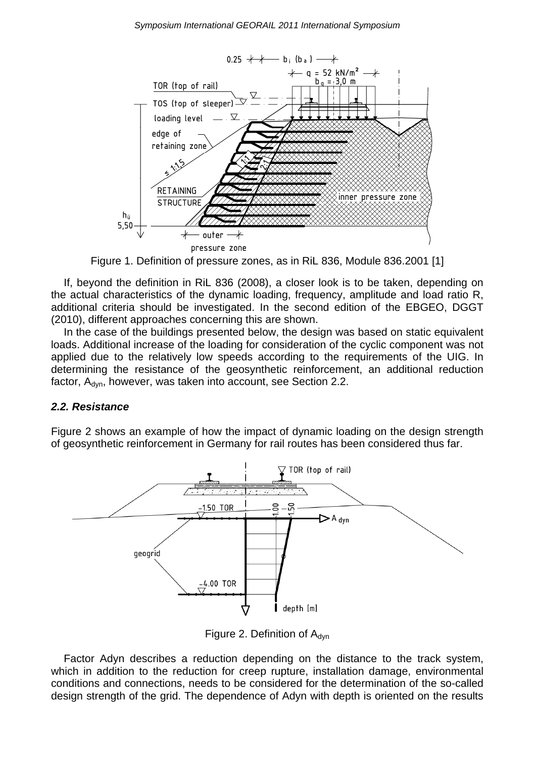

Figure 1. Definition of pressure zones, as in RiL 836, Module 836.2001 [1]

If, beyond the definition in RiL 836 (2008), a closer look is to be taken, depending on the actual characteristics of the dynamic loading, frequency, amplitude and load ratio R, additional criteria should be investigated. In the second edition of the EBGEO, DGGT (2010), different approaches concerning this are shown.

In the case of the buildings presented below, the design was based on static equivalent loads. Additional increase of the loading for consideration of the cyclic component was not applied due to the relatively low speeds according to the requirements of the UIG. In determining the resistance of the geosynthetic reinforcement, an additional reduction factor, A<sub>dyn</sub>, however, was taken into account, see Section 2.2.

### *2.2. Resistance*

Figure 2 shows an example of how the impact of dynamic loading on the design strength of geosynthetic reinforcement in Germany for rail routes has been considered thus far.



Figure 2. Definition of  $A_{\text{dyn}}$ 

Factor Adyn describes a reduction depending on the distance to the track system, which in addition to the reduction for creep rupture, installation damage, environmental conditions and connections, needs to be considered for the determination of the so-called design strength of the grid. The dependence of Adyn with depth is oriented on the results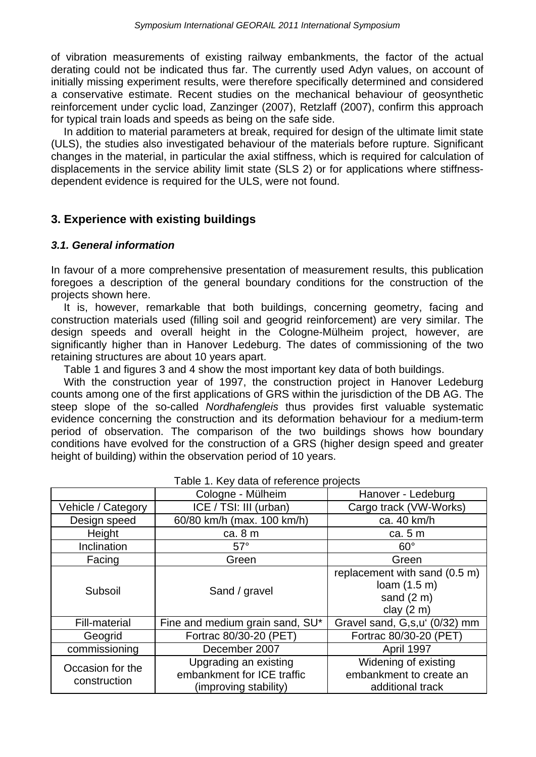of vibration measurements of existing railway embankments, the factor of the actual derating could not be indicated thus far. The currently used Adyn values, on account of initially missing experiment results, were therefore specifically determined and considered a conservative estimate. Recent studies on the mechanical behaviour of geosynthetic reinforcement under cyclic load, Zanzinger (2007), Retzlaff (2007), confirm this approach for typical train loads and speeds as being on the safe side.

In addition to material parameters at break, required for design of the ultimate limit state (ULS), the studies also investigated behaviour of the materials before rupture. Significant changes in the material, in particular the axial stiffness, which is required for calculation of displacements in the service ability limit state (SLS 2) or for applications where stiffnessdependent evidence is required for the ULS, were not found.

### **3. Experience with existing buildings**

#### *3.1. General information*

In favour of a more comprehensive presentation of measurement results, this publication foregoes a description of the general boundary conditions for the construction of the projects shown here.

It is, however, remarkable that both buildings, concerning geometry, facing and construction materials used (filling soil and geogrid reinforcement) are very similar. The design speeds and overall height in the Cologne-Mülheim project, however, are significantly higher than in Hanover Ledeburg. The dates of commissioning of the two retaining structures are about 10 years apart.

Table 1 and figures 3 and 4 show the most important key data of both buildings.

With the construction year of 1997, the construction project in Hanover Ledeburg counts among one of the first applications of GRS within the jurisdiction of the DB AG. The steep slope of the so-called *Nordhafengleis* thus provides first valuable systematic evidence concerning the construction and its deformation behaviour for a medium-term period of observation. The comparison of the two buildings shows how boundary conditions have evolved for the construction of a GRS (higher design speed and greater height of building) within the observation period of 10 years.

|                                  | Cologne - Mülheim                                                            | Hanover - Ledeburg                                                              |
|----------------------------------|------------------------------------------------------------------------------|---------------------------------------------------------------------------------|
| Vehicle / Category               | ICE / TSI: III (urban)                                                       | Cargo track (VW-Works)                                                          |
| Design speed                     | 60/80 km/h (max. 100 km/h)                                                   | ca. 40 km/h                                                                     |
| Height                           | ca. 8 m                                                                      | ca. 5 m                                                                         |
| Inclination                      | $57^\circ$                                                                   | $60^\circ$                                                                      |
| Facing                           | Green                                                                        | Green                                                                           |
| Subsoil                          | Sand / gravel                                                                | replacement with sand (0.5 m)<br>loam $(1.5 m)$<br>sand $(2 m)$<br>clay $(2 m)$ |
| <b>Fill-material</b>             | Fine and medium grain sand, SU*                                              | Gravel sand, G,s,u' (0/32) mm                                                   |
| Geogrid                          | Fortrac 80/30-20 (PET)                                                       | Fortrac 80/30-20 (PET)                                                          |
| commissioning                    | December 2007                                                                | April 1997                                                                      |
| Occasion for the<br>construction | Upgrading an existing<br>embankment for ICE traffic<br>(improving stability) | Widening of existing<br>embankment to create an<br>additional track             |

#### Table 1. Key data of reference projects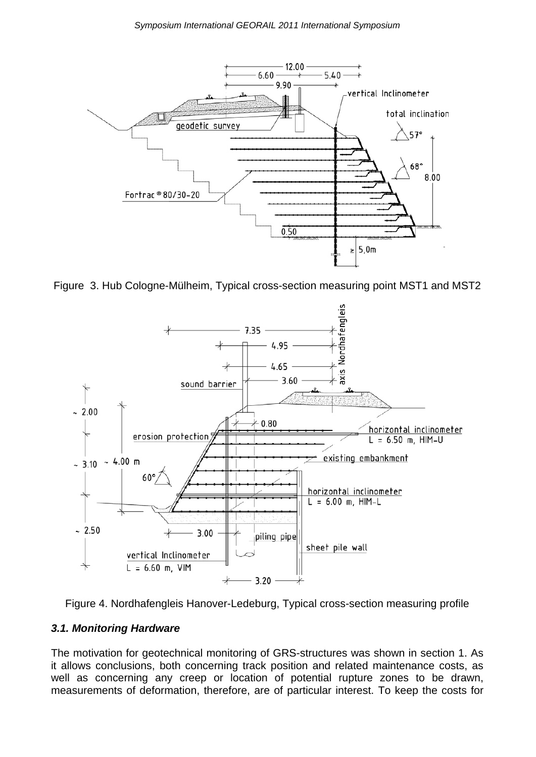

Figure 3. Hub Cologne-Mülheim, Typical cross-section measuring point MST1 and MST2





#### *3.1. Monitoring Hardware*

The motivation for geotechnical monitoring of GRS-structures was shown in section 1. As it allows conclusions, both concerning track position and related maintenance costs, as well as concerning any creep or location of potential rupture zones to be drawn, measurements of deformation, therefore, are of particular interest. To keep the costs for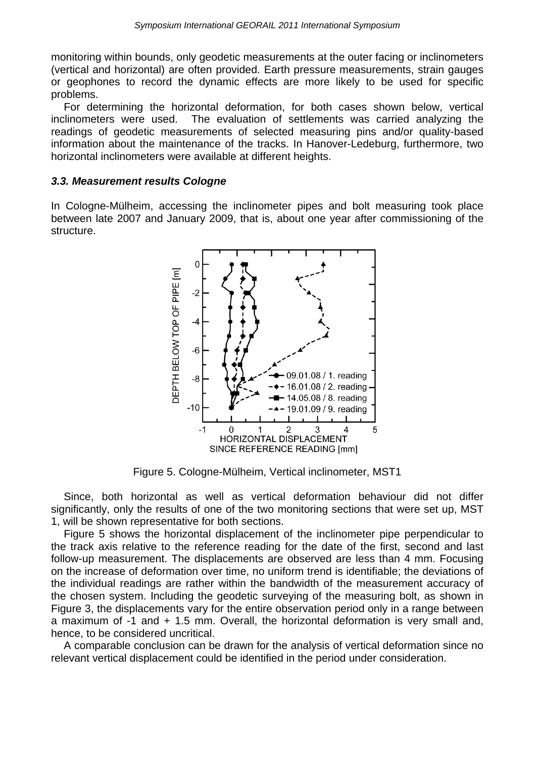monitoring within bounds, only geodetic measurements at the outer facing or inclinometers (vertical and horizontal) are often provided. Earth pressure measurements, strain gauges or geophones to record the dynamic effects are more likely to be used for specific problems.

For determining the horizontal deformation, for both cases shown below, vertical inclinometers were used. The evaluation of settlements was carried analyzing the readings of geodetic measurements of selected measuring pins and/or quality-based information about the maintenance of the tracks. In Hanover-Ledeburg, furthermore, two horizontal inclinometers were available at different heights.

#### *3.3. Measurement results Cologne*

In Cologne-Mülheim, accessing the inclinometer pipes and bolt measuring took place between late 2007 and January 2009, that is, about one year after commissioning of the structure.



Figure 5. Cologne-Mülheim, Vertical inclinometer, MST1

Since, both horizontal as well as vertical deformation behaviour did not differ significantly, only the results of one of the two monitoring sections that were set up, MST 1, will be shown representative for both sections.

Figure 5 shows the horizontal displacement of the inclinometer pipe perpendicular to the track axis relative to the reference reading for the date of the first, second and last follow-up measurement. The displacements are observed are less than 4 mm. Focusing on the increase of deformation over time, no uniform trend is identifiable; the deviations of the individual readings are rather within the bandwidth of the measurement accuracy of the chosen system. Including the geodetic surveying of the measuring bolt, as shown in Figure 3, the displacements vary for the entire observation period only in a range between a maximum of -1 and + 1.5 mm. Overall, the horizontal deformation is very small and, hence, to be considered uncritical.

A comparable conclusion can be drawn for the analysis of vertical deformation since no relevant vertical displacement could be identified in the period under consideration.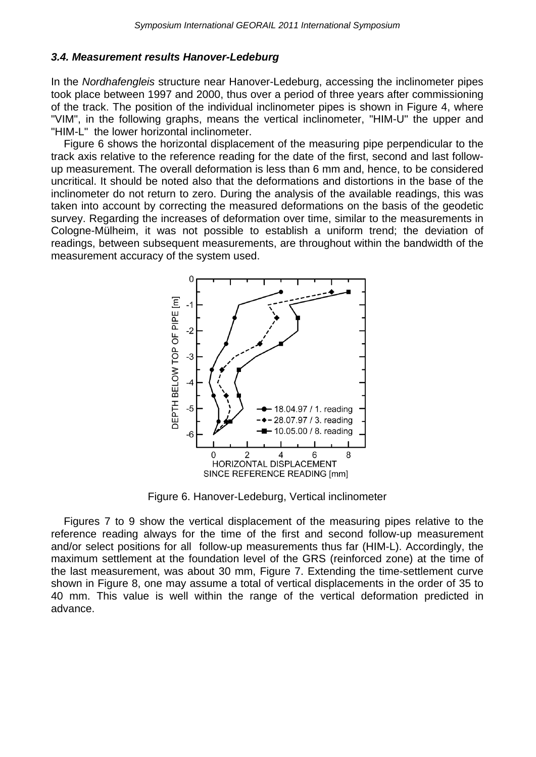#### *3.4. Measurement results Hanover-Ledeburg*

In the *Nordhafengleis* structure near Hanover-Ledeburg, accessing the inclinometer pipes took place between 1997 and 2000, thus over a period of three years after commissioning of the track. The position of the individual inclinometer pipes is shown in Figure 4, where "VIM", in the following graphs, means the vertical inclinometer, "HIM-U" the upper and "HIM-L" the lower horizontal inclinometer.

Figure 6 shows the horizontal displacement of the measuring pipe perpendicular to the track axis relative to the reference reading for the date of the first, second and last followup measurement. The overall deformation is less than 6 mm and, hence, to be considered uncritical. It should be noted also that the deformations and distortions in the base of the inclinometer do not return to zero. During the analysis of the available readings, this was taken into account by correcting the measured deformations on the basis of the geodetic survey. Regarding the increases of deformation over time, similar to the measurements in Cologne-Mülheim, it was not possible to establish a uniform trend; the deviation of readings, between subsequent measurements, are throughout within the bandwidth of the measurement accuracy of the system used.



Figure 6. Hanover-Ledeburg, Vertical inclinometer

Figures 7 to 9 show the vertical displacement of the measuring pipes relative to the reference reading always for the time of the first and second follow-up measurement and/or select positions for all follow-up measurements thus far (HIM-L). Accordingly, the maximum settlement at the foundation level of the GRS (reinforced zone) at the time of the last measurement, was about 30 mm, Figure 7. Extending the time-settlement curve shown in Figure 8, one may assume a total of vertical displacements in the order of 35 to 40 mm. This value is well within the range of the vertical deformation predicted in advance.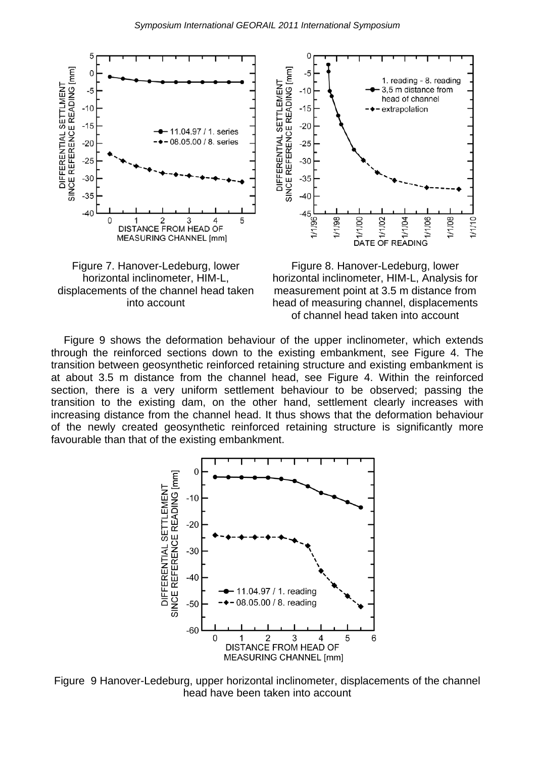







Figure 9 shows the deformation behaviour of the upper inclinometer, which extends through the reinforced sections down to the existing embankment, see Figure 4. The transition between geosynthetic reinforced retaining structure and existing embankment is at about 3.5 m distance from the channel head, see Figure 4. Within the reinforced section, there is a very uniform settlement behaviour to be observed; passing the transition to the existing dam, on the other hand, settlement clearly increases with increasing distance from the channel head. It thus shows that the deformation behaviour of the newly created geosynthetic reinforced retaining structure is significantly more favourable than that of the existing embankment.



Figure 9 Hanover-Ledeburg, upper horizontal inclinometer, displacements of the channel head have been taken into account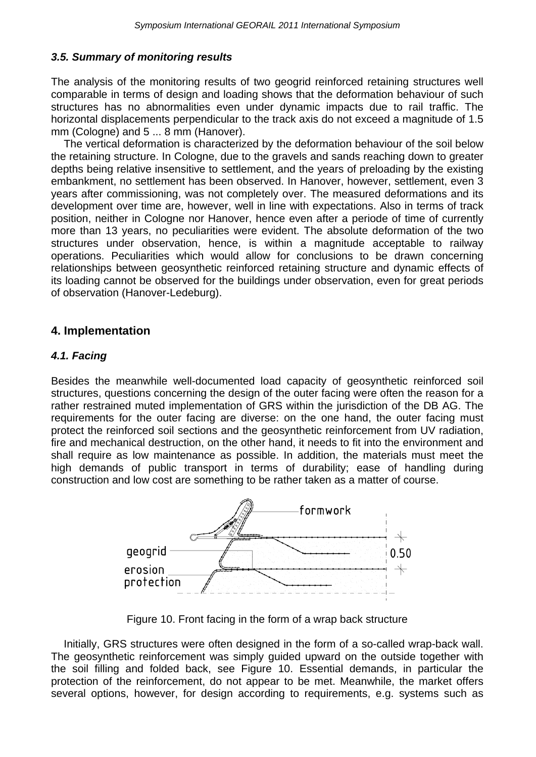### *3.5. Summary of monitoring results*

The analysis of the monitoring results of two geogrid reinforced retaining structures well comparable in terms of design and loading shows that the deformation behaviour of such structures has no abnormalities even under dynamic impacts due to rail traffic. The horizontal displacements perpendicular to the track axis do not exceed a magnitude of 1.5 mm (Cologne) and 5 ... 8 mm (Hanover).

The vertical deformation is characterized by the deformation behaviour of the soil below the retaining structure. In Cologne, due to the gravels and sands reaching down to greater depths being relative insensitive to settlement, and the years of preloading by the existing embankment, no settlement has been observed. In Hanover, however, settlement, even 3 years after commissioning, was not completely over. The measured deformations and its development over time are, however, well in line with expectations. Also in terms of track position, neither in Cologne nor Hanover, hence even after a periode of time of currently more than 13 years, no peculiarities were evident. The absolute deformation of the two structures under observation, hence, is within a magnitude acceptable to railway operations. Peculiarities which would allow for conclusions to be drawn concerning relationships between geosynthetic reinforced retaining structure and dynamic effects of its loading cannot be observed for the buildings under observation, even for great periods of observation (Hanover-Ledeburg).

### **4. Implementation**

### *4.1. Facing*

Besides the meanwhile well-documented load capacity of geosynthetic reinforced soil structures, questions concerning the design of the outer facing were often the reason for a rather restrained muted implementation of GRS within the jurisdiction of the DB AG. The requirements for the outer facing are diverse: on the one hand, the outer facing must protect the reinforced soil sections and the geosynthetic reinforcement from UV radiation, fire and mechanical destruction, on the other hand, it needs to fit into the environment and shall require as low maintenance as possible. In addition, the materials must meet the high demands of public transport in terms of durability; ease of handling during construction and low cost are something to be rather taken as a matter of course.



Figure 10. Front facing in the form of a wrap back structure

Initially, GRS structures were often designed in the form of a so-called wrap-back wall. The geosynthetic reinforcement was simply guided upward on the outside together with the soil filling and folded back, see Figure 10. Essential demands, in particular the protection of the reinforcement, do not appear to be met. Meanwhile, the market offers several options, however, for design according to requirements, e.g. systems such as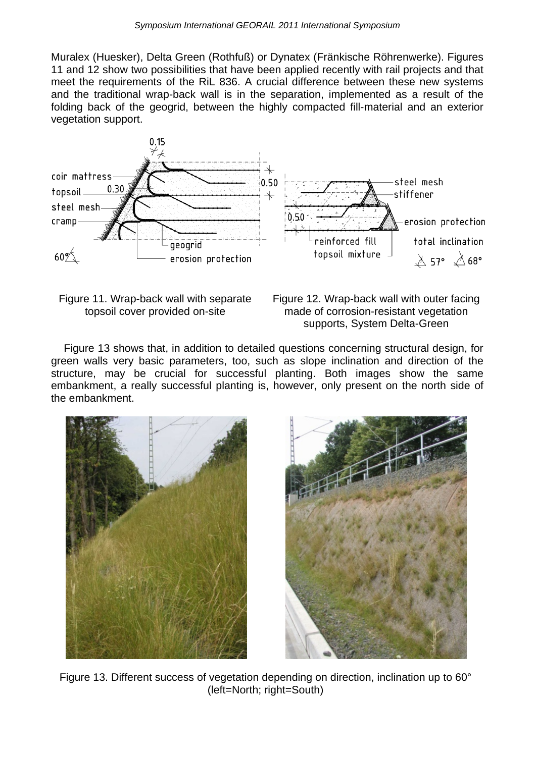Muralex (Huesker), Delta Green (Rothfuß) or Dynatex (Fränkische Röhrenwerke). Figures 11 and 12 show two possibilities that have been applied recently with rail projects and that meet the requirements of the RiL 836. A crucial difference between these new systems and the traditional wrap-back wall is in the separation, implemented as a result of the folding back of the geogrid, between the highly compacted fill-material and an exterior vegetation support.





Figure 12. Wrap-back wall with outer facing made of corrosion-resistant vegetation supports, System Delta-Green

Figure 13 shows that, in addition to detailed questions concerning structural design, for green walls very basic parameters, too, such as slope inclination and direction of the structure, may be crucial for successful planting. Both images show the same embankment, a really successful planting is, however, only present on the north side of the embankment.





Figure 13. Different success of vegetation depending on direction, inclination up to 60° (left=North; right=South)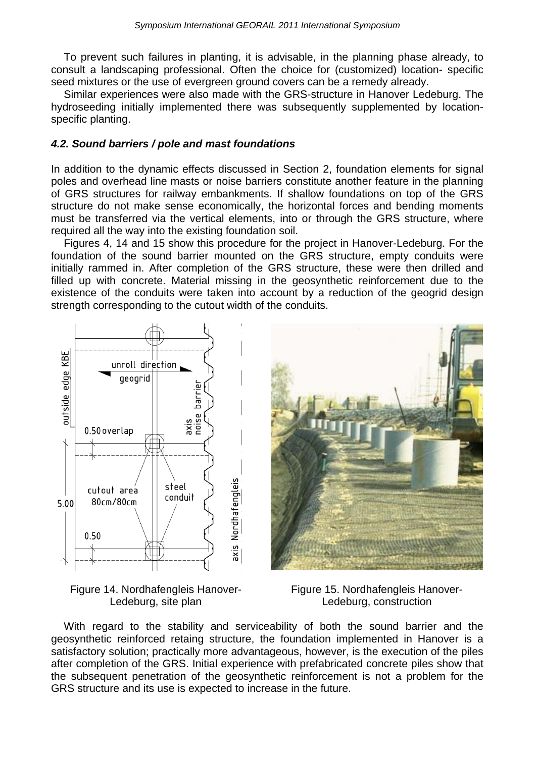To prevent such failures in planting, it is advisable, in the planning phase already, to consult a landscaping professional. Often the choice for (customized) location- specific seed mixtures or the use of evergreen ground covers can be a remedy already.

Similar experiences were also made with the GRS-structure in Hanover Ledeburg. The hydroseeding initially implemented there was subsequently supplemented by locationspecific planting.

#### *4.2. Sound barriers / pole and mast foundations*

In addition to the dynamic effects discussed in Section 2, foundation elements for signal poles and overhead line masts or noise barriers constitute another feature in the planning of GRS structures for railway embankments. If shallow foundations on top of the GRS structure do not make sense economically, the horizontal forces and bending moments must be transferred via the vertical elements, into or through the GRS structure, where required all the way into the existing foundation soil.

Figures 4, 14 and 15 show this procedure for the project in Hanover-Ledeburg. For the foundation of the sound barrier mounted on the GRS structure, empty conduits were initially rammed in. After completion of the GRS structure, these were then drilled and filled up with concrete. Material missing in the geosynthetic reinforcement due to the existence of the conduits were taken into account by a reduction of the geogrid design strength corresponding to the cutout width of the conduits.



Figure 14. Nordhafengleis Hanover-Ledeburg, site plan



Figure 15. Nordhafengleis Hanover-Ledeburg, construction

With regard to the stability and serviceability of both the sound barrier and the geosynthetic reinforced retaing structure, the foundation implemented in Hanover is a satisfactory solution; practically more advantageous, however, is the execution of the piles after completion of the GRS. Initial experience with prefabricated concrete piles show that the subsequent penetration of the geosynthetic reinforcement is not a problem for the GRS structure and its use is expected to increase in the future.